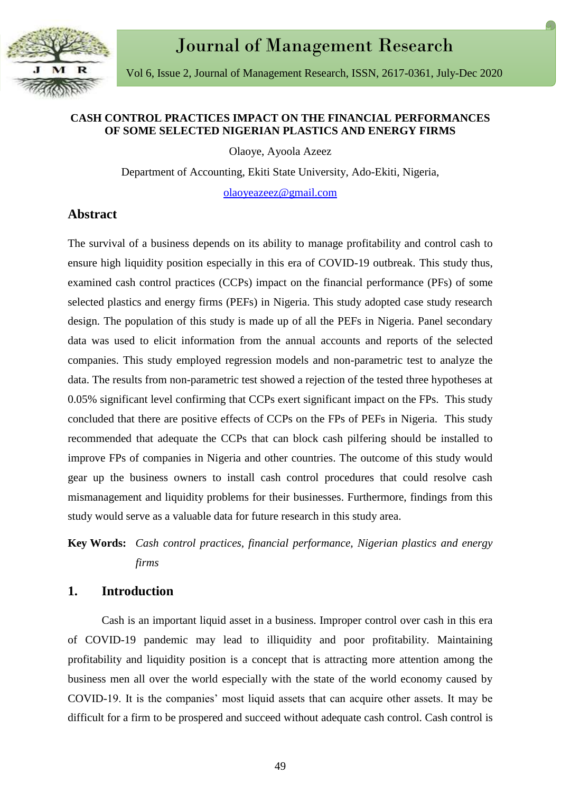

## **CASH CONTROL PRACTICES IMPACT ON THE FINANCIAL PERFORMANCES OF SOME SELECTED NIGERIAN PLASTICS AND ENERGY FIRMS**

Olaoye, Ayoola Azeez

Department of Accounting, Ekiti State University, Ado-Ekiti, Nigeria,

[olaoyeazeez@gmail.com](mailto:olaoyeazeez@gmail.com)

## **Abstract**

The survival of a business depends on its ability to manage profitability and control cash to ensure high liquidity position especially in this era of COVID-19 outbreak. This study thus, examined cash control practices (CCPs) impact on the financial performance (PFs) of some selected plastics and energy firms (PEFs) in Nigeria. This study adopted case study research design. The population of this study is made up of all the PEFs in Nigeria. Panel secondary data was used to elicit information from the annual accounts and reports of the selected companies. This study employed regression models and non-parametric test to analyze the data. The results from non-parametric test showed a rejection of the tested three hypotheses at 0.05% significant level confirming that CCPs exert significant impact on the FPs. This study concluded that there are positive effects of CCPs on the FPs of PEFs in Nigeria. This study recommended that adequate the CCPs that can block cash pilfering should be installed to improve FPs of companies in Nigeria and other countries. The outcome of this study would gear up the business owners to install cash control procedures that could resolve cash mismanagement and liquidity problems for their businesses. Furthermore, findings from this study would serve as a valuable data for future research in this study area.

**Key Words:** *Cash control practices, financial performance, Nigerian plastics and energy firms*

### **1. Introduction**

Cash is an important liquid asset in a business. Improper control over cash in this era of COVID-19 pandemic may lead to illiquidity and poor profitability. Maintaining profitability and liquidity position is a concept that is attracting more attention among the business men all over the world especially with the state of the world economy caused by COVID-19. It is the companies' most liquid assets that can acquire other assets. It may be difficult for a firm to be prospered and succeed without adequate cash control. Cash control is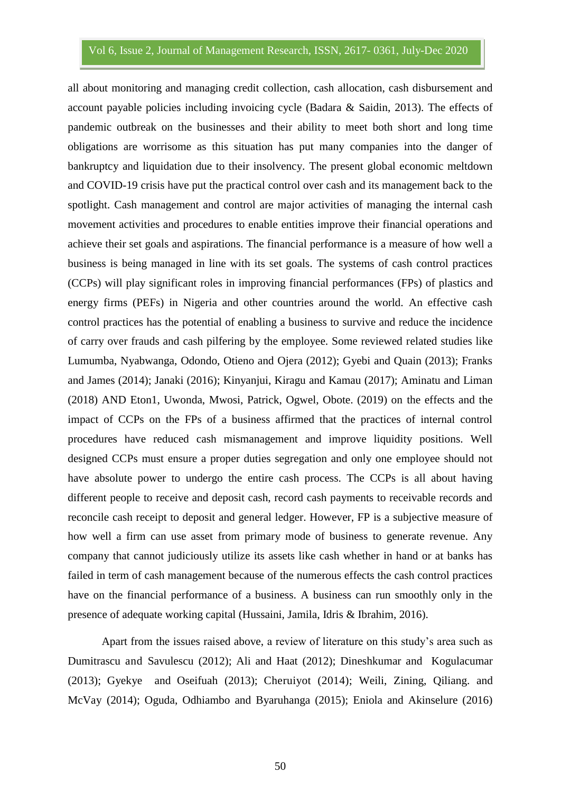all about monitoring and managing credit collection, cash allocation, cash disbursement and account payable policies including invoicing cycle (Badara & Saidin, 2013). The effects of pandemic outbreak on the businesses and their ability to meet both short and long time obligations are worrisome as this situation has put many companies into the danger of bankruptcy and liquidation due to their insolvency. The present global economic meltdown and COVID-19 crisis have put the practical control over cash and its management back to the spotlight. Cash management and control are major activities of managing the internal cash movement activities and procedures to enable entities improve their financial operations and achieve their set goals and aspirations. The financial performance is a measure of how well a business is being managed in line with its set goals. The systems of cash control practices (CCPs) will play significant roles in improving financial performances (FPs) of plastics and energy firms (PEFs) in Nigeria and other countries around the world. An effective cash control practices has the potential of enabling a business to survive and reduce the incidence of carry over frauds and cash pilfering by the employee. Some reviewed related studies like Lumumba, Nyabwanga, Odondo, Otieno and Ojera (2012); Gyebi and Quain (2013); Franks and James (2014); Janaki (2016); Kinyanjui, Kiragu and Kamau (2017); Aminatu and Liman (2018) AND Eton1, Uwonda, Mwosi, Patrick, Ogwel, Obote. (2019) on the effects and the impact of CCPs on the FPs of a business affirmed that the practices of internal control procedures have reduced cash mismanagement and improve liquidity positions. Well designed CCPs must ensure a proper duties segregation and only one employee should not have absolute power to undergo the entire cash process. The CCPs is all about having different people to receive and deposit cash, record cash payments to receivable records and reconcile cash receipt to deposit and general ledger. However, FP is a subjective measure of how well a firm can use asset from primary mode of business to generate revenue. Any company that cannot judiciously utilize its assets like cash whether in hand or at banks has failed in term of cash management because of the numerous effects the cash control practices have on the financial performance of a business. A business can run smoothly only in the presence of adequate working capital (Hussaini, Jamila, Idris & Ibrahim, 2016).

Apart from the issues raised above, a review of literature on this study's area such as Dumitrascu and Savulescu (2012); Ali and Haat (2012); Dineshkumar and Kogulacumar (2013); Gyekye and Oseifuah (2013); Cheruiyot (2014); Weili, Zining, Qiliang. and McVay (2014); Oguda, Odhiambo and Byaruhanga (2015); Eniola and Akinselure (2016)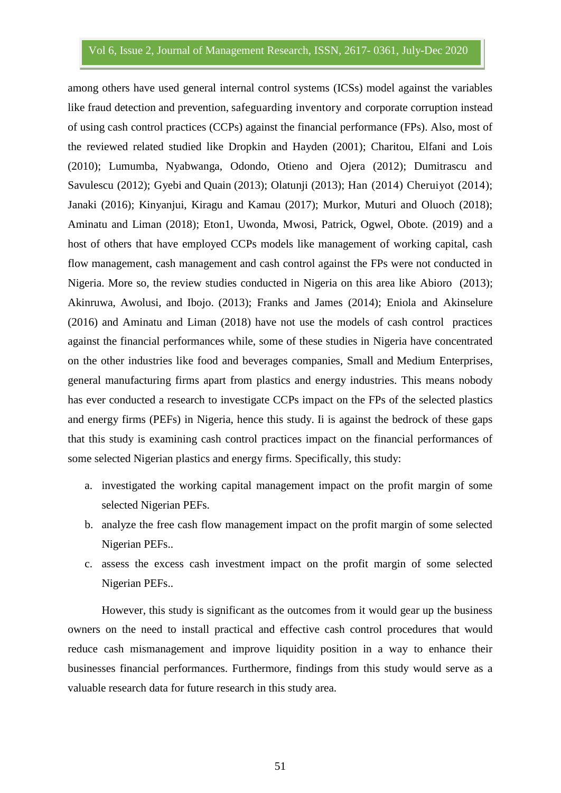among others have used general internal control systems (ICSs) model against the variables like fraud detection and prevention, safeguarding inventory and corporate corruption instead of using cash control practices (CCPs) against the financial performance (FPs). Also, most of the reviewed related studied like Dropkin and Hayden (2001); Charitou, Elfani and Lois (2010); Lumumba, Nyabwanga, Odondo, Otieno and Ojera (2012); Dumitrascu and Savulescu (2012); Gyebi and Quain (2013); Olatunji (2013); Han (2014) Cheruiyot (2014); Janaki (2016); Kinyanjui, Kiragu and Kamau (2017); Murkor, Muturi and Oluoch (2018); Aminatu and Liman (2018); Eton1, Uwonda, Mwosi, Patrick, Ogwel, Obote. (2019) and a host of others that have employed CCPs models like management of working capital, cash flow management, cash management and cash control against the FPs were not conducted in Nigeria. More so, the review studies conducted in Nigeria on this area like Abioro (2013); Akinruwa, Awolusi, and Ibojo. (2013); Franks and James (2014); Eniola and Akinselure (2016) and Aminatu and Liman (2018) have not use the models of cash control practices against the financial performances while, some of these studies in Nigeria have concentrated on the other industries like food and beverages companies, Small and Medium Enterprises, general manufacturing firms apart from plastics and energy industries. This means nobody has ever conducted a research to investigate CCPs impact on the FPs of the selected plastics and energy firms (PEFs) in Nigeria, hence this study. Ii is against the bedrock of these gaps that this study is examining cash control practices impact on the financial performances of some selected Nigerian plastics and energy firms. Specifically, this study:

- a. investigated the working capital management impact on the profit margin of some selected Nigerian PEFs.
- b. analyze the free cash flow management impact on the profit margin of some selected Nigerian PEFs..
- c. assess the excess cash investment impact on the profit margin of some selected Nigerian PEFs..

However, this study is significant as the outcomes from it would gear up the business owners on the need to install practical and effective cash control procedures that would reduce cash mismanagement and improve liquidity position in a way to enhance their businesses financial performances. Furthermore, findings from this study would serve as a valuable research data for future research in this study area.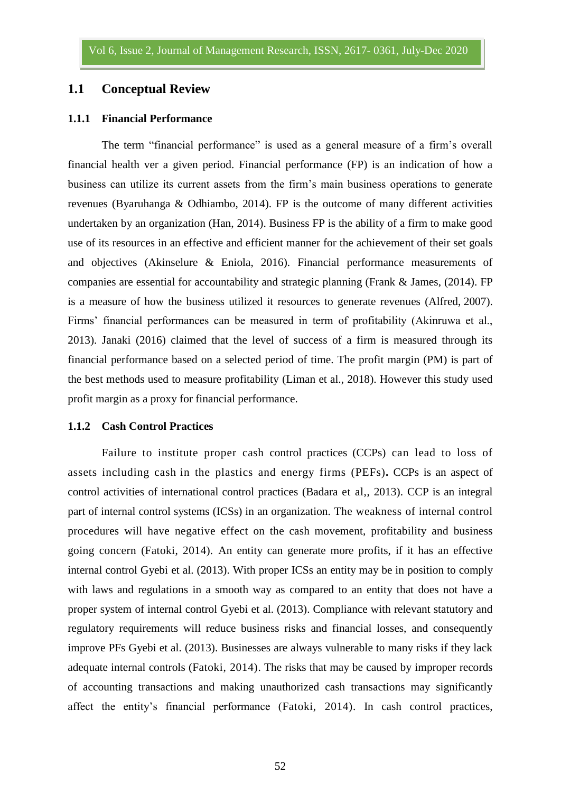## **1.1 Conceptual Review**

#### **1.1.1 Financial Performance**

The term "financial performance" is used as a general measure of a firm's overall financial health ver a given period. Financial performance (FP) is an indication of how a business can utilize its current assets from the firm's main business operations to generate revenues (Byaruhanga & Odhiambo, 2014). FP is the outcome of many different activities undertaken by an organization (Han, 2014). Business FP is the ability of a firm to make good use of its resources in an effective and efficient manner for the achievement of their set goals and objectives (Akinselure & Eniola, 2016). Financial performance measurements of companies are essential for accountability and strategic planning (Frank & James, (2014). FP is a measure of how the business utilized it resources to generate revenues (Alfred, 2007). Firms' financial performances can be measured in term of profitability (Akinruwa et al., 2013). Janaki (2016) claimed that the level of success of a firm is measured through its financial performance based on a selected period of time. The profit margin (PM) is part of the best methods used to measure profitability (Liman et al., 2018). However this study used profit margin as a proxy for financial performance.

#### **1.1.2 Cash Control Practices**

Failure to institute proper cash control practices (CCPs) can lead to loss of assets including cash in the plastics and energy firms (PEFs)*.* CCPs is an aspect of control activities of international control practices (Badara et al,, 2013). CCP is an integral part of internal control systems (ICSs) in an organization. The weakness of internal control procedures will have negative effect on the cash movement, profitability and business going concern (Fatoki, 2014). An entity can generate more profits, if it has an effective internal control Gyebi et al. (2013). With proper ICSs an entity may be in position to comply with laws and regulations in a smooth way as compared to an entity that does not have a proper system of internal control Gyebi et al. (2013). Compliance with relevant statutory and regulatory requirements will reduce business risks and financial losses, and consequently improve PFs Gyebi et al. (2013). Businesses are always vulnerable to many risks if they lack adequate internal controls (Fatoki, 2014). The risks that may be caused by improper records of accounting transactions and making unauthorized cash transactions may significantly affect the entity's financial performance (Fatoki, 2014). In cash control practices,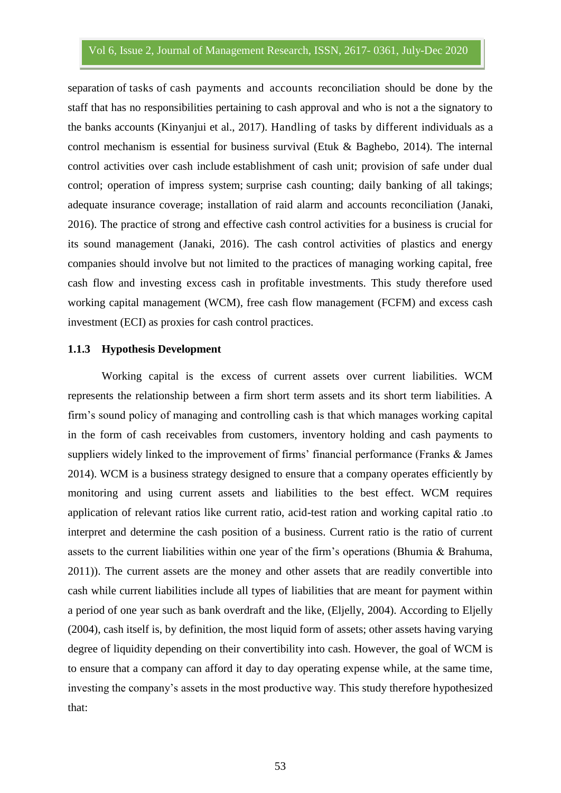separation of tasks of cash payments and accounts reconciliation should be done by the staff that has no responsibilities pertaining to cash approval and who is not a the signatory to the banks accounts (Kinyanjui et al., 2017). Handling of tasks by different individuals as a control mechanism is essential for business survival (Etuk & Baghebo, 2014). The internal control activities over cash include establishment of cash unit; provision of safe under dual control; operation of impress system; surprise cash counting; daily banking of all takings; adequate insurance coverage; installation of raid alarm and accounts reconciliation (Janaki, 2016). The practice of strong and effective cash control activities for a business is crucial for its sound management (Janaki, 2016). The cash control activities of plastics and energy companies should involve but not limited to the practices of managing working capital, free cash flow and investing excess cash in profitable investments. This study therefore used working capital management (WCM), free cash flow management (FCFM) and excess cash investment (ECI) as proxies for cash control practices.

#### **1.1.3 Hypothesis Development**

Working capital is the excess of current assets over current liabilities. WCM represents the relationship between a firm short term assets and its short term liabilities. A firm's sound policy of managing and controlling cash is that which manages working capital in the form of cash receivables from customers, inventory holding and cash payments to suppliers widely linked to the improvement of firms' financial performance (Franks & James 2014). WCM is a business strategy designed to ensure that a company operates efficiently by monitoring and using current assets and liabilities to the best effect. WCM requires application of relevant ratios like current ratio, acid-test ration and working capital ratio .to interpret and determine the cash position of a business. Current ratio is the ratio of current assets to the current liabilities within one year of the firm's operations (Bhumia & Brahuma, 2011)). The current assets are the money and other assets that are readily convertible into cash while current liabilities include all types of liabilities that are meant for payment within a period of one year such as bank overdraft and the like, (Eljelly, 2004). According to Eljelly (2004), cash itself is, by definition, the most liquid form of assets; other assets having varying degree of liquidity depending on their convertibility into cash. However, the goal of WCM is to ensure that a company can afford it day to day operating expense while, at the same time, investing the company's assets in the most productive way. This study therefore hypothesized that: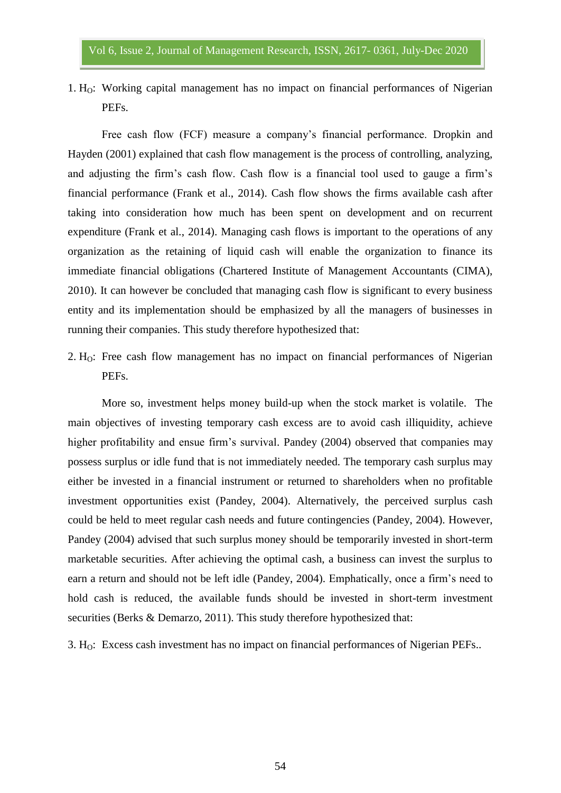1.  $H<sub>O</sub>$ : Working capital management has no impact on financial performances of Nigerian PEFs.

Free cash flow (FCF) measure a company's financial performance. Dropkin and Hayden (2001) explained that cash flow management is the process of controlling, analyzing, and adjusting the firm's cash flow. Cash flow is a financial tool used to gauge a firm's financial performance (Frank et al., 2014). Cash flow shows the firms available cash after taking into consideration how much has been spent on development and on recurrent expenditure (Frank et al., 2014). Managing cash flows is important to the operations of any organization as the retaining of liquid cash will enable the organization to finance its immediate financial obligations (Chartered Institute of Management Accountants (CIMA), 2010). It can however be concluded that managing cash flow is significant to every business entity and its implementation should be emphasized by all the managers of businesses in running their companies. This study therefore hypothesized that:

2.  $H<sub>O</sub>$ : Free cash flow management has no impact on financial performances of Nigerian PEFs.

More so, investment helps money build-up when the stock market is volatile. The main objectives of investing temporary cash excess are to avoid cash illiquidity, achieve higher profitability and ensue firm's survival. Pandey (2004) observed that companies may possess surplus or idle fund that is not immediately needed. The temporary cash surplus may either be invested in a financial instrument or returned to shareholders when no profitable investment opportunities exist (Pandey, 2004). Alternatively, the perceived surplus cash could be held to meet regular cash needs and future contingencies (Pandey, 2004). However, Pandey (2004) advised that such surplus money should be temporarily invested in short-term marketable securities. After achieving the optimal cash, a business can invest the surplus to earn a return and should not be left idle (Pandey, 2004). Emphatically, once a firm's need to hold cash is reduced, the available funds should be invested in short-term investment securities (Berks & Demarzo, 2011). This study therefore hypothesized that:

3. HO: Excess cash investment has no impact on financial performances of Nigerian PEFs..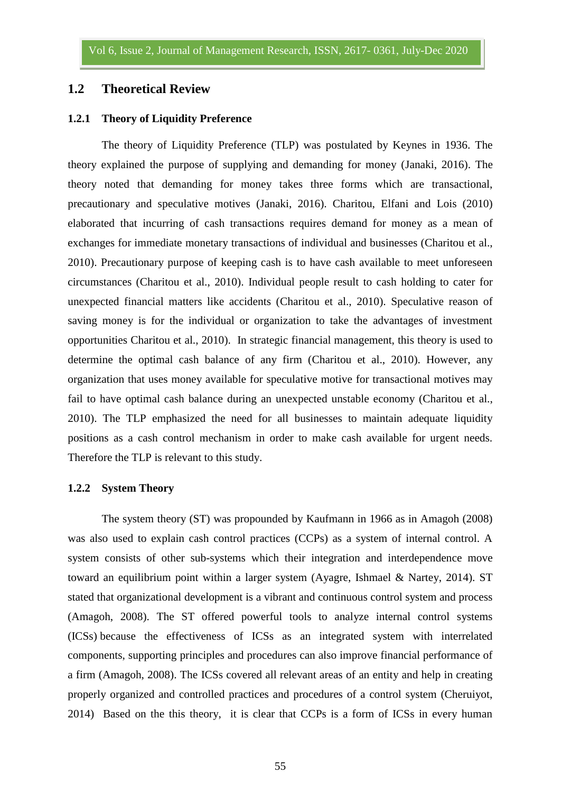## **1.2 Theoretical Review**

### **1.2.1 Theory of Liquidity Preference**

The theory of Liquidity Preference (TLP) was postulated by Keynes in 1936. The theory explained the purpose of supplying and demanding for money (Janaki, 2016). The theory noted that demanding for money takes three forms which are transactional, precautionary and speculative motives (Janaki, 2016). Charitou, Elfani and Lois (2010) elaborated that incurring of cash transactions requires demand for money as a mean of exchanges for immediate monetary transactions of individual and businesses (Charitou et al., 2010). Precautionary purpose of keeping cash is to have cash available to meet unforeseen circumstances (Charitou et al., 2010). Individual people result to cash holding to cater for unexpected financial matters like accidents (Charitou et al., 2010). Speculative reason of saving money is for the individual or organization to take the advantages of investment opportunities Charitou et al., 2010). In strategic financial management, this theory is used to determine the optimal cash balance of any firm (Charitou et al., 2010). However, any organization that uses money available for speculative motive for transactional motives may fail to have optimal cash balance during an unexpected unstable economy (Charitou et al., 2010). The TLP emphasized the need for all businesses to maintain adequate liquidity positions as a cash control mechanism in order to make cash available for urgent needs. Therefore the TLP is relevant to this study.

#### **1.2.2 System Theory**

The system theory (ST) was propounded by Kaufmann in 1966 as in Amagoh (2008) was also used to explain cash control practices (CCPs) as a system of internal control. A system consists of other sub-systems which their integration and interdependence move toward an equilibrium point within a larger system (Ayagre, Ishmael & Nartey, 2014). ST stated that organizational development is a vibrant and continuous control system and process (Amagoh, 2008). The ST offered powerful tools to analyze internal control systems (ICSs) because the effectiveness of ICSs as an integrated system with interrelated components, supporting principles and procedures can also improve financial performance of a firm (Amagoh, 2008). The ICSs covered all relevant areas of an entity and help in creating properly organized and controlled practices and procedures of a control system (Cheruiyot, 2014) Based on the this theory, it is clear that CCPs is a form of ICSs in every human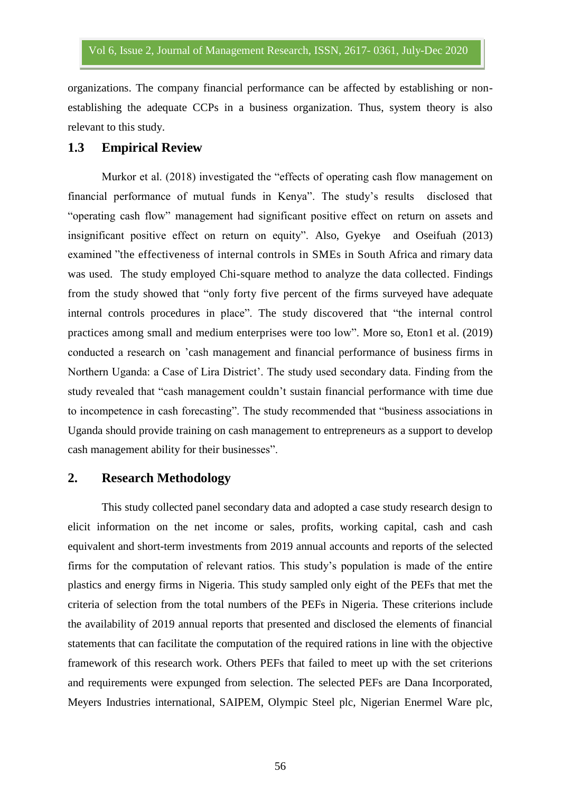organizations. The company financial performance can be affected by establishing or nonestablishing the adequate CCPs in a business organization. Thus, system theory is also relevant to this study.

### **1.3 Empirical Review**

Murkor et al. (2018) investigated the "effects of operating cash flow management on financial performance of mutual funds in Kenya". The study's results disclosed that "operating cash flow" management had significant positive effect on return on assets and insignificant positive effect on return on equity". Also, Gyekye and Oseifuah (2013) examined "the effectiveness of internal controls in SMEs in South Africa and rimary data was used. The study employed Chi-square method to analyze the data collected. Findings from the study showed that "only forty five percent of the firms surveyed have adequate internal controls procedures in place". The study discovered that "the internal control practices among small and medium enterprises were too low". More so, Eton1 et al. (2019) conducted a research on 'cash management and financial performance of business firms in Northern Uganda: a Case of Lira District'. The study used secondary data. Finding from the study revealed that "cash management couldn't sustain financial performance with time due to incompetence in cash forecasting". The study recommended that "business associations in Uganda should provide training on cash management to entrepreneurs as a support to develop cash management ability for their businesses".

### **2. Research Methodology**

This study collected panel secondary data and adopted a case study research design to elicit information on the net income or sales, profits, working capital, cash and cash equivalent and short-term investments from 2019 annual accounts and reports of the selected firms for the computation of relevant ratios. This study's population is made of the entire plastics and energy firms in Nigeria. This study sampled only eight of the PEFs that met the criteria of selection from the total numbers of the PEFs in Nigeria. These criterions include the availability of 2019 annual reports that presented and disclosed the elements of financial statements that can facilitate the computation of the required rations in line with the objective framework of this research work. Others PEFs that failed to meet up with the set criterions and requirements were expunged from selection. The selected PEFs are Dana Incorporated, Meyers Industries international, SAIPEM, Olympic Steel plc, Nigerian Enermel Ware plc,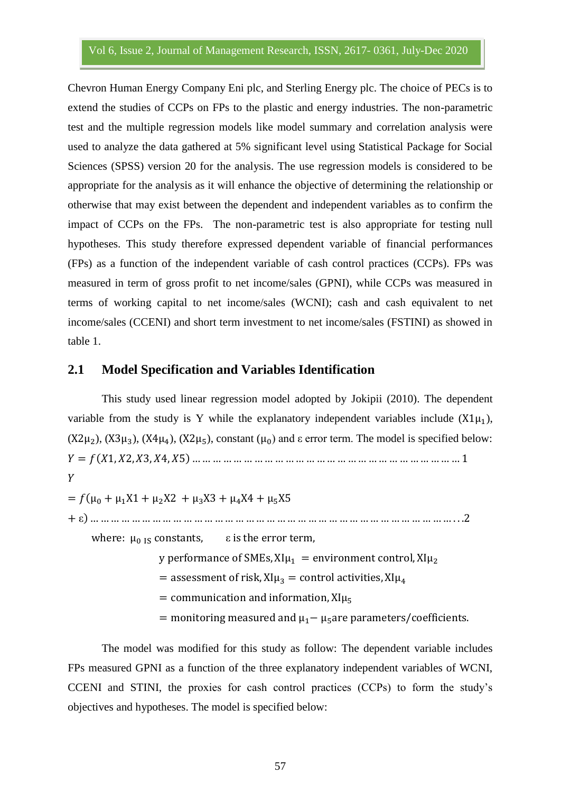Chevron Human Energy Company Eni plc, and Sterling Energy plc. The choice of PECs is to extend the studies of CCPs on FPs to the plastic and energy industries. The non-parametric test and the multiple regression models like model summary and correlation analysis were used to analyze the data gathered at 5% significant level using Statistical Package for Social Sciences (SPSS) version 20 for the analysis. The use regression models is considered to be appropriate for the analysis as it will enhance the objective of determining the relationship or otherwise that may exist between the dependent and independent variables as to confirm the impact of CCPs on the FPs. The non-parametric test is also appropriate for testing null hypotheses. This study therefore expressed dependent variable of financial performances (FPs) as a function of the independent variable of cash control practices (CCPs). FPs was measured in term of gross profit to net income/sales (GPNI), while CCPs was measured in terms of working capital to net income/sales (WCNI); cash and cash equivalent to net income/sales (CCENI) and short term investment to net income/sales (FSTINI) as showed in table 1.

## **2.1 Model Specification and Variables Identification**

This study used linear regression model adopted by Jokipii (2010). The dependent variable from the study is Y while the explanatory independent variables include  $(X1\mu_1)$ ,  $(X2\mu_2)$ ,  $(X3\mu_3)$ ,  $(X4\mu_4)$ ,  $(X2\mu_5)$ , constant  $(\mu_0)$  and  $\varepsilon$  error term. The model is specified below: ( )  $\boldsymbol{Y}$ 

 $= f(\mu_0 + \mu_1 X1 + \mu_2 X2 + \mu_3 X3 + \mu_4 X4 + \mu_5 X5)$ ε)

where:  $\mu_0$  is constants,  $\epsilon$  is the error term,

y performance of SMEs,  $XI\mu_1$  = environment control,  $XI\mu_2$ 

= assessment of risk,  $XI\mu_3$  = control activities,  $XI\mu_4$ 

= communication and information,  $XI\mu_5$ 

= monitoring measured and  $\mu_1 - \mu_5$  are parameters/coefficients.

The model was modified for this study as follow: The dependent variable includes FPs measured GPNI as a function of the three explanatory independent variables of WCNI, CCENI and STINI, the proxies for cash control practices (CCPs) to form the study's objectives and hypotheses. The model is specified below: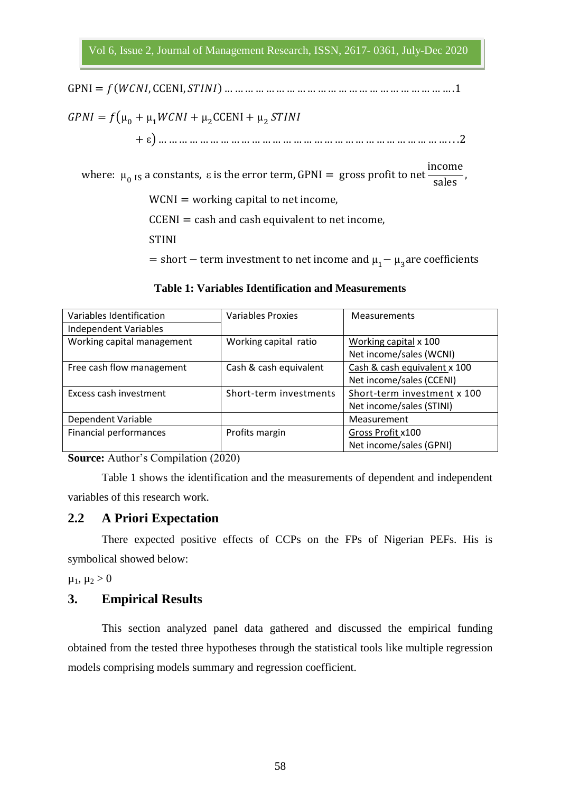( )  $GPNI = f(\mu_0 + \mu_1 WCNI + \mu_2 CCENI + \mu_2 S)$ ε)

where:  $\mu$ <sub>0</sub> <sub>IS</sub> a constants, ε i i S

 $WCNI = working capital to net income,$ 

 $CCENI = cash$  and cash equivalent to net income,

**STINI** 

= short – term investment to net income and  $\mu_1 - \mu_2 a$ 

| Variables Identification     | <b>Variables Proxies</b> | <b>Measurements</b>          |
|------------------------------|--------------------------|------------------------------|
| <b>Independent Variables</b> |                          |                              |
| Working capital management   | Working capital ratio    | Working capital x 100        |
|                              |                          | Net income/sales (WCNI)      |
| Free cash flow management    | Cash & cash equivalent   | Cash & cash equivalent x 100 |
|                              |                          | Net income/sales (CCENI)     |
| Excess cash investment       | Short-term investments   | Short-term investment x 100  |
|                              |                          | Net income/sales (STINI)     |
| Dependent Variable           |                          | Measurement                  |
| Financial performances       | Profits margin           | Gross Profit x100            |
|                              |                          | Net income/sales (GPNI)      |

#### **Table 1: Variables Identification and Measurements**

**Source:** Author's Compilation (2020)

Table 1 shows the identification and the measurements of dependent and independent variables of this research work.

## **2.2 A Priori Expectation**

There expected positive effects of CCPs on the FPs of Nigerian PEFs. His is symbolical showed below:

 $\mu_1, \mu_2 > 0$ 

## **3. Empirical Results**

This section analyzed panel data gathered and discussed the empirical funding obtained from the tested three hypotheses through the statistical tools like multiple regression models comprising models summary and regression coefficient.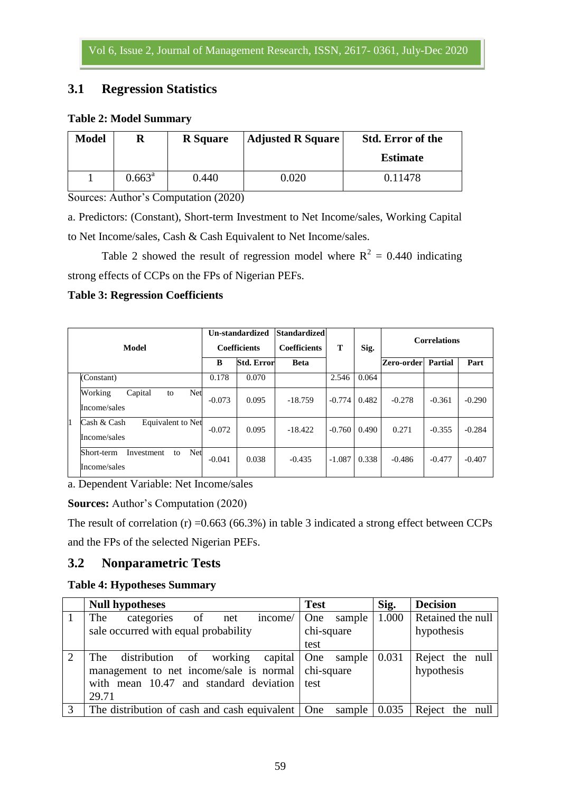# **3.1 Regression Statistics**

## **Table 2: Model Summary**

| <b>Model</b> | R               | <b>R</b> Square | <b>Adjusted R Square</b> | <b>Std. Error of the</b> |
|--------------|-----------------|-----------------|--------------------------|--------------------------|
|              |                 |                 |                          | <b>Estimate</b>          |
|              | $0.663^{\rm a}$ | 0.440           | 0.020                    | 0.11478                  |

Sources: Author's Computation (2020)

a. Predictors: (Constant), Short-term Investment to Net Income/sales, Working Capital to Net Income/sales, Cash & Cash Equivalent to Net Income/sales.

Table 2 showed the result of regression model where  $R^2 = 0.440$  indicating strong effects of CCPs on the FPs of Nigerian PEFs.

## **Table 3: Regression Coefficients**

| Model |                                                       | Un-standardized<br><b>Coefficients</b> |                   | <b>Standardized</b><br><b>Coefficients</b> | T        | Sig.  | <b>Correlations</b> |          |          |
|-------|-------------------------------------------------------|----------------------------------------|-------------------|--------------------------------------------|----------|-------|---------------------|----------|----------|
|       |                                                       | B                                      | <b>Std. Error</b> | <b>Beta</b>                                |          |       | Zero-order          | Partial  | Part     |
| 1     | (Constant)                                            | 0.178                                  | 0.070             |                                            | 2.546    | 0.064 |                     |          |          |
|       | Working<br>Capital<br>Net<br>to<br>Income/sales       | $-0.073$                               | 0.095             | $-18.759$                                  | $-0.774$ | 0.482 | $-0.278$            | $-0.361$ | $-0.290$ |
|       | Cash & Cash<br>Equivalent to Net<br>Income/sales      | $-0.072$                               | 0.095             | $-18.422$                                  | $-0.760$ | 0.490 | 0.271               | $-0.355$ | $-0.284$ |
|       | Net<br>Investment<br>Short-term<br>to<br>Income/sales | $-0.041$                               | 0.038             | $-0.435$                                   | $-1.087$ | 0.338 | $-0.486$            | $-0.477$ | $-0.407$ |

a. Dependent Variable: Net Income/sales

**Sources:** Author's Computation (2020)

The result of correlation  $(r)$  =0.663 (66.3%) in table 3 indicated a strong effect between CCPs and the FPs of the selected Nigerian PEFs.

## **3.2 Nonparametric Tests**

## **Table 4: Hypotheses Summary**

|                             | <b>Null hypotheses</b>                             | <b>Test</b>                | Sig.  | <b>Decision</b>   |  |
|-----------------------------|----------------------------------------------------|----------------------------|-------|-------------------|--|
|                             | The<br>categories of net<br>income/                | sample<br><b>One</b>       | 1.000 | Retained the null |  |
|                             | sale occurred with equal probability               | chi-square                 |       | hypothesis        |  |
|                             |                                                    | test                       |       |                   |  |
| $\mathcal{D}_{\mathcal{L}}$ | The distribution of working capital One sample     |                            | 0.031 | Reject the null   |  |
|                             | management to net income/sale is normal chi-square |                            |       | hypothesis        |  |
|                             | with mean 10.47 and standard deviation test        |                            |       |                   |  |
|                             | 29.71                                              |                            |       |                   |  |
| 3                           | The distribution of cash and cash equivalent   One | sample $\vert 0.035 \vert$ |       | Reject the null   |  |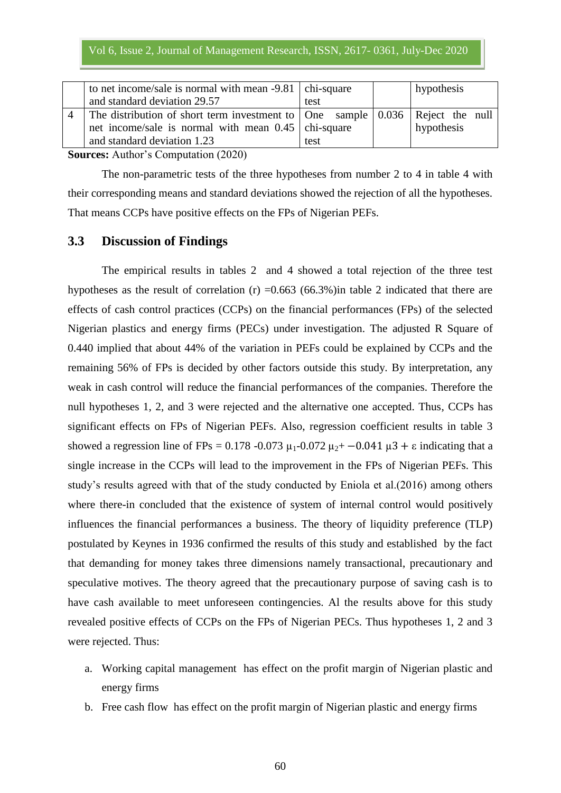| to net income/sale is normal with mean $-9.81$   chi-square                                           |      | hypothesis |
|-------------------------------------------------------------------------------------------------------|------|------------|
| and standard deviation 29.57                                                                          | test |            |
| The distribution of short term investment to $\vert$ One sample $\vert$ 0.036 $\vert$ Reject the null |      |            |
| net income/sale is normal with mean $0.45$   chi-square                                               |      | hypothesis |
| and standard deviation 1.23                                                                           | test |            |

**Sources:** Author's Computation (2020)

The non-parametric tests of the three hypotheses from number 2 to 4 in table 4 with their corresponding means and standard deviations showed the rejection of all the hypotheses. That means CCPs have positive effects on the FPs of Nigerian PEFs.

### **3.3 Discussion of Findings**

The empirical results in tables 2 and 4 showed a total rejection of the three test hypotheses as the result of correlation (r)  $=0.663$  (66.3%) in table 2 indicated that there are effects of cash control practices (CCPs) on the financial performances (FPs) of the selected Nigerian plastics and energy firms (PECs) under investigation. The adjusted R Square of 0.440 implied that about 44% of the variation in PEFs could be explained by CCPs and the remaining 56% of FPs is decided by other factors outside this study. By interpretation, any weak in cash control will reduce the financial performances of the companies. Therefore the null hypotheses 1, 2, and 3 were rejected and the alternative one accepted. Thus, CCPs has significant effects on FPs of Nigerian PEFs. Also, regression coefficient results in table 3 showed a regression line of FPs = 0.178 -0.073  $\mu_1$ -0.072  $\mu_2$ + -0.041  $\mu$ 3 +  $\varepsilon$  indicating that a single increase in the CCPs will lead to the improvement in the FPs of Nigerian PEFs. This study's results agreed with that of the study conducted by Eniola et al.(2016) among others where there-in concluded that the existence of system of internal control would positively influences the financial performances a business. The theory of liquidity preference (TLP) postulated by Keynes in 1936 confirmed the results of this study and established by the fact that demanding for money takes three dimensions namely transactional, precautionary and speculative motives. The theory agreed that the precautionary purpose of saving cash is to have cash available to meet unforeseen contingencies. Al the results above for this study revealed positive effects of CCPs on the FPs of Nigerian PECs. Thus hypotheses 1, 2 and 3 were rejected. Thus:

- a. Working capital management has effect on the profit margin of Nigerian plastic and energy firms
- b. Free cash flow has effect on the profit margin of Nigerian plastic and energy firms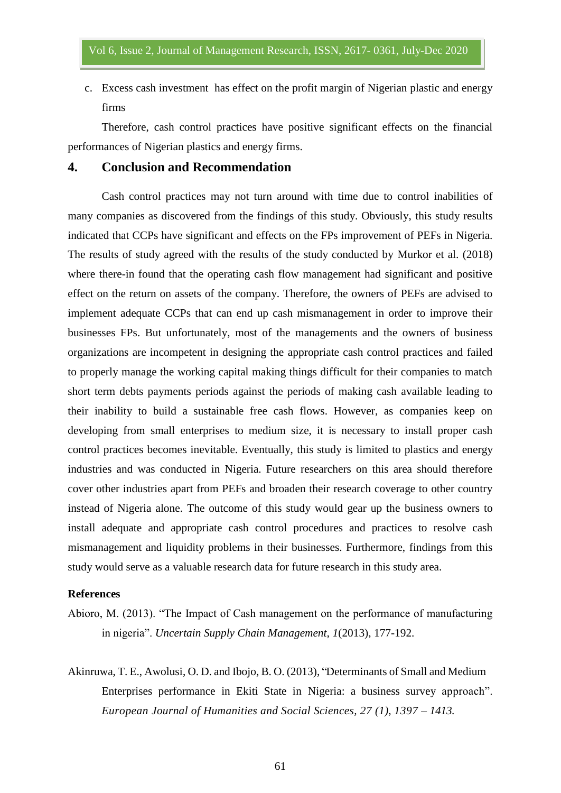c. Excess cash investment has effect on the profit margin of Nigerian plastic and energy firms

Therefore, cash control practices have positive significant effects on the financial performances of Nigerian plastics and energy firms.

#### **4. Conclusion and Recommendation**

Cash control practices may not turn around with time due to control inabilities of many companies as discovered from the findings of this study. Obviously, this study results indicated that CCPs have significant and effects on the FPs improvement of PEFs in Nigeria. The results of study agreed with the results of the study conducted by Murkor et al. (2018) where there-in found that the operating cash flow management had significant and positive effect on the return on assets of the company. Therefore, the owners of PEFs are advised to implement adequate CCPs that can end up cash mismanagement in order to improve their businesses FPs. But unfortunately, most of the managements and the owners of business organizations are incompetent in designing the appropriate cash control practices and failed to properly manage the working capital making things difficult for their companies to match short term debts payments periods against the periods of making cash available leading to their inability to build a sustainable free cash flows. However, as companies keep on developing from small enterprises to medium size, it is necessary to install proper cash control practices becomes inevitable. Eventually, this study is limited to plastics and energy industries and was conducted in Nigeria. Future researchers on this area should therefore cover other industries apart from PEFs and broaden their research coverage to other country instead of Nigeria alone. The outcome of this study would gear up the business owners to install adequate and appropriate cash control procedures and practices to resolve cash mismanagement and liquidity problems in their businesses. Furthermore, findings from this study would serve as a valuable research data for future research in this study area.

### **References**

- Abioro, M. (2013). "The Impact of Cash management on the performance of manufacturing in nigeria". *Uncertain Supply Chain Management, 1*(2013), 177-192.
- Akinruwa, T. E., Awolusi, O. D. and Ibojo, B. O. (2013), "Determinants of Small and Medium Enterprises performance in Ekiti State in Nigeria: a business survey approach". *European Journal of Humanities and Social Sciences, 27 (1), 1397 – 1413.*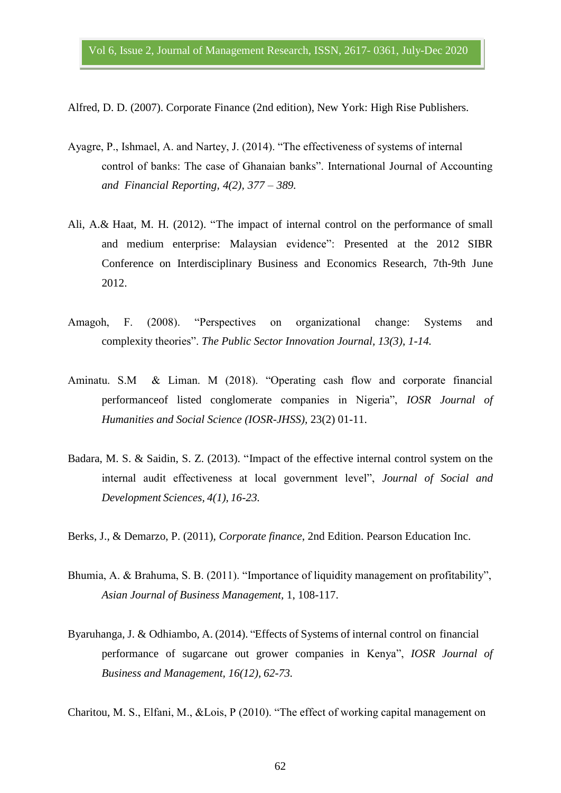Alfred, D. D. (2007). Corporate Finance (2nd edition), New York: High Rise Publishers.

- Ayagre, P., Ishmael, A. and Nartey, J. (2014). "The effectiveness of systems of internal control of banks: The case of Ghanaian banks". International Journal of Accounting *and Financial Reporting, 4(2), 377 – 389.*
- Ali, A.& Haat, M. H. (2012). "The impact of internal control on the performance of small and medium enterprise: Malaysian evidence": Presented at the 2012 SIBR Conference on Interdisciplinary Business and Economics Research, 7th-9th June 2012.
- Amagoh, F. (2008). "Perspectives on organizational change: Systems and complexity theories". *The Public Sector Innovation Journal, 13(3), 1-14.*
- Aminatu. S.M & Liman. M (2018). "Operating cash flow and corporate financial performanceof listed conglomerate companies in Nigeria", *IOSR Journal of Humanities and Social Science (IOSR-JHSS),* 23(2) 01-11.
- Badara, M. S. & Saidin, S. Z. (2013). "Impact of the effective internal control system on the internal audit effectiveness at local government level", *Journal of Social and Development Sciences, 4(1), 16-23.*
- Berks, J., & Demarzo, P. (2011), *Corporate finance*, 2nd Edition. Pearson Education Inc.
- Bhumia, A. & Brahuma, S. B. (2011). "Importance of liquidity management on profitability", *Asian Journal of Business Management,* 1, 108-117.
- Byaruhanga, J. & Odhiambo, A. (2014). "Effects of Systems of internal control on financial performance of sugarcane out grower companies in Kenya", *IOSR Journal of Business and Management, 16(12), 62-73.*

Charitou, M. S., Elfani, M., &Lois, P (2010). "The effect of working capital management on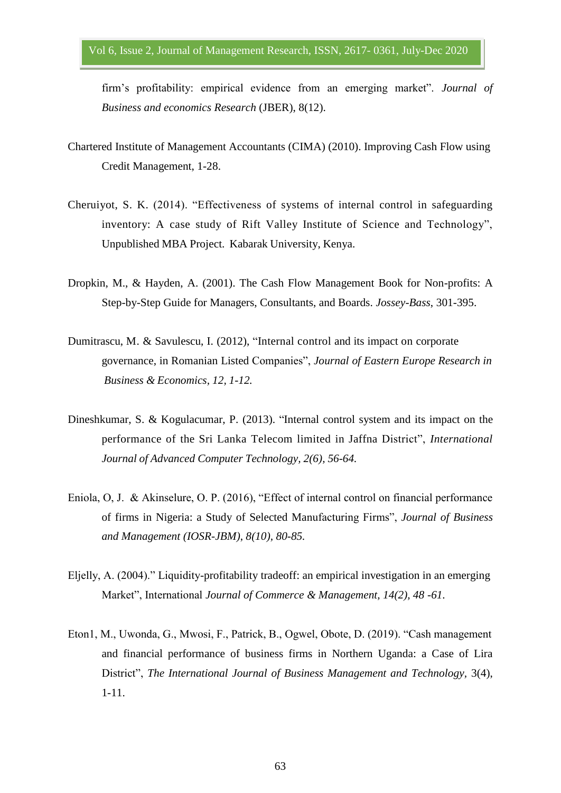firm's profitability: empirical evidence from an emerging market". *Journal of Business and economics Research* (JBER), 8(12).

- Chartered Institute of Management Accountants (CIMA) (2010). Improving Cash Flow using Credit Management, 1-28.
- Cheruiyot, S. K. (2014). "Effectiveness of systems of internal control in safeguarding inventory: A case study of Rift Valley Institute of Science and Technology", Unpublished MBA Project. Kabarak University, Kenya.
- Dropkin, M., & Hayden, A. (2001). The Cash Flow Management Book for Non-profits: A Step-by-Step Guide for Managers, Consultants, and Boards. *Jossey-Bass*, 301-395.
- Dumitrascu, M. & Savulescu, I. (2012), "Internal control and its impact on corporate governance, in Romanian Listed Companies", *Journal of Eastern Europe Research in Business & Economics, 12, 1-12.*
- Dineshkumar, S. & Kogulacumar, P. (2013). "Internal control system and its impact on the performance of the Sri Lanka Telecom limited in Jaffna District", *International Journal of Advanced Computer Technology, 2(6), 56-64.*
- Eniola, O, J. & Akinselure, O. P. (2016), "Effect of internal control on financial performance of firms in Nigeria: a Study of Selected Manufacturing Firms", *Journal of Business and Management (IOSR-JBM)*, *8(10), 80-85.*
- Eljelly, A. (2004)." Liquidity-profitability tradeoff: an empirical investigation in an emerging Market", International *Journal of Commerce & Management, 14(2), 48 -61.*
- Eton1, M., Uwonda, G., Mwosi, F., Patrick, B., Ogwel, Obote, D. (2019). "Cash management and financial performance of business firms in Northern Uganda: a Case of Lira District", *The International Journal of Business Management and Technology,* 3(4), 1-11.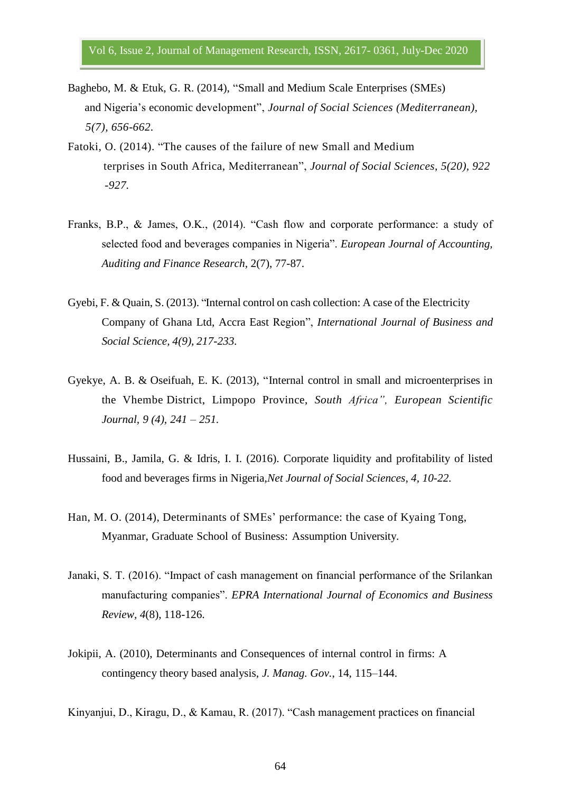- Baghebo, M. & Etuk, G. R. (2014), "Small and Medium Scale Enterprises (SMEs) and Nigeria's economic development", *Journal of Social Sciences (Mediterranean), 5(7), 656-662.*
- Fatoki, O. (2014). "The causes of the failure of new Small and Medium terprises in South Africa, Mediterranean", *Journal of Social Sciences, 5(20), 922 -927.*
- Franks, B.P., & James, O.K., (2014). "Cash flow and corporate performance: a study of selected food and beverages companies in Nigeria". *European Journal of Accounting, Auditing and Finance Research,* 2(7), 77-87.
- Gyebi, F. & Quain, S. (2013). "Internal control on cash collection: A case of the Electricity Company of Ghana Ltd, Accra East Region", *International Journal of Business and Social Science, 4(9), 217-233.*
- Gyekye, A. B. & Oseifuah, E. K. (2013), "Internal control in small and microenterprises in the Vhembe District, Limpopo Province, *South Africa", European Scientific Journal, 9 (4), 241 – 251.*
- Hussaini, B., Jamila, G. & Idris, I. I. (2016). Corporate liquidity and profitability of listed food and beverages firms in Nigeria,*Net Journal of Social Sciences, 4, 10-22.*
- Han, M. O. (2014), Determinants of SMEs' performance: the case of Kyaing Tong, Myanmar, Graduate School of Business: Assumption University.
- Janaki, S. T. (2016). "Impact of cash management on financial performance of the Srilankan manufacturing companies". *EPRA International Journal of Economics and Business Review, 4*(8), 118-126.
- Jokipii, A. (2010), Determinants and Consequences of internal control in firms: A contingency theory based analysis, *J. Manag. Gov.*, 14, 115–144.

Kinyanjui, D., Kiragu, D., & Kamau, R. (2017). "Cash management practices on financial